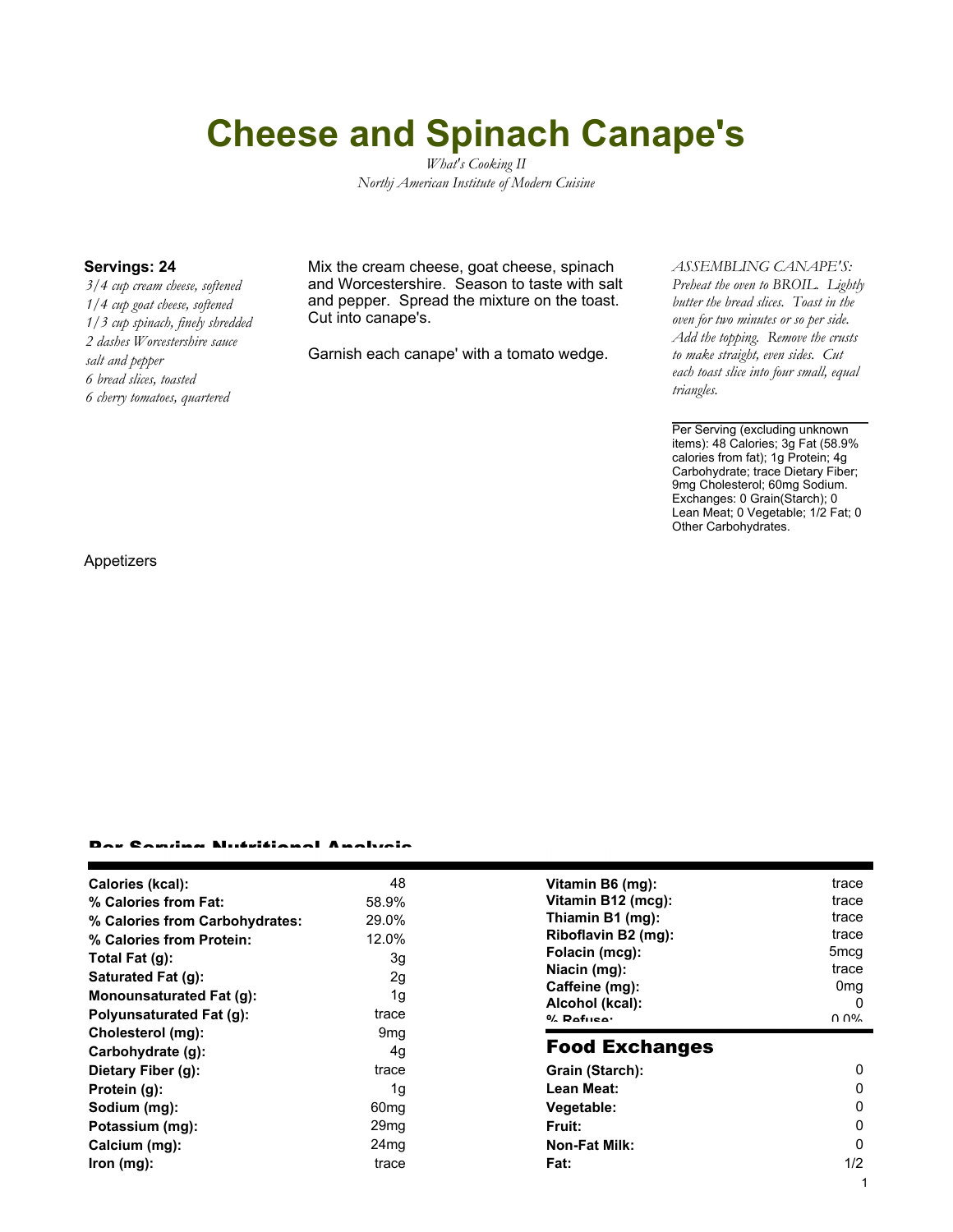# **Cheese and Spinach Canape's**

*What's Cooking II Northj American Institute of Modern Cuisine*

*3/4 cup cream cheese, softened 1/4 cup goat cheese, softened 1/3 cup spinach, finely shredded 2 dashes Worcestershire sauce salt and pepper 6 bread slices, toasted 6 cherry tomatoes, quartered*

**Servings: 24** Mix the cream cheese, goat cheese, spinach and Worcestershire. Season to taste with salt and pepper. Spread the mixture on the toast. Cut into canape's.

Garnish each canape' with a tomato wedge.

### *ASSEMBLING CANAPE'S:*

*Preheat the oven to BROIL. Lightly butter the bread slices. Toast in the oven for two minutes or so per side. Add the topping. Remove the crusts to make straight, even sides. Cut each toast slice into four small, equal triangles.*

Per Serving (excluding unknown items): 48 Calories; 3g Fat (58.9% calories from fat); 1g Protein; 4g Carbohydrate; trace Dietary Fiber; 9mg Cholesterol; 60mg Sodium. Exchanges: 0 Grain(Starch); 0 Lean Meat; 0 Vegetable; 1/2 Fat; 0 Other Carbohydrates.

Appetizers

#### Per Serving Nutritional Analysis

| Calories (kcal):                | 48               | Vitamin B6 (mg):      | trace           |
|---------------------------------|------------------|-----------------------|-----------------|
| % Calories from Fat:            | 58.9%            | Vitamin B12 (mcg):    | trace           |
| % Calories from Carbohydrates:  | 29.0%            | Thiamin B1 (mg):      | trace           |
| % Calories from Protein:        | 12.0%            | Riboflavin B2 (mg):   | trace           |
| Total Fat $(g)$ :               | 3g               | Folacin (mcg):        | 5mcq            |
| Saturated Fat (g):              | 2g               | Niacin (mg):          | trace           |
| Monounsaturated Fat (g):        | 1g               | Caffeine (mg):        | 0 <sub>mq</sub> |
|                                 |                  | Alcohol (kcal):       |                 |
| <b>Polyunsaturated Fat (g):</b> | trace            | $0/2$ Pofileon        | በ በ%            |
| Cholesterol (mg):               | 9 <sub>mq</sub>  |                       |                 |
| Carbohydrate (g):               | 4g               | <b>Food Exchanges</b> |                 |
| Dietary Fiber (g):              | trace            | Grain (Starch):       | $\mathbf{0}$    |
| Protein (g):                    | 1g               | Lean Meat:            | 0               |
| Sodium (mg):                    | 60 <sub>mg</sub> | Vegetable:            | 0               |
| Potassium (mg):                 | 29 <sub>mg</sub> | <b>Fruit:</b>         | 0               |
| Calcium (mg):                   | 24 <sub>mg</sub> | <b>Non-Fat Milk:</b>  | $\Omega$        |
| lron (mg):                      | trace            | Fat:                  | 1/2             |
|                                 |                  |                       |                 |